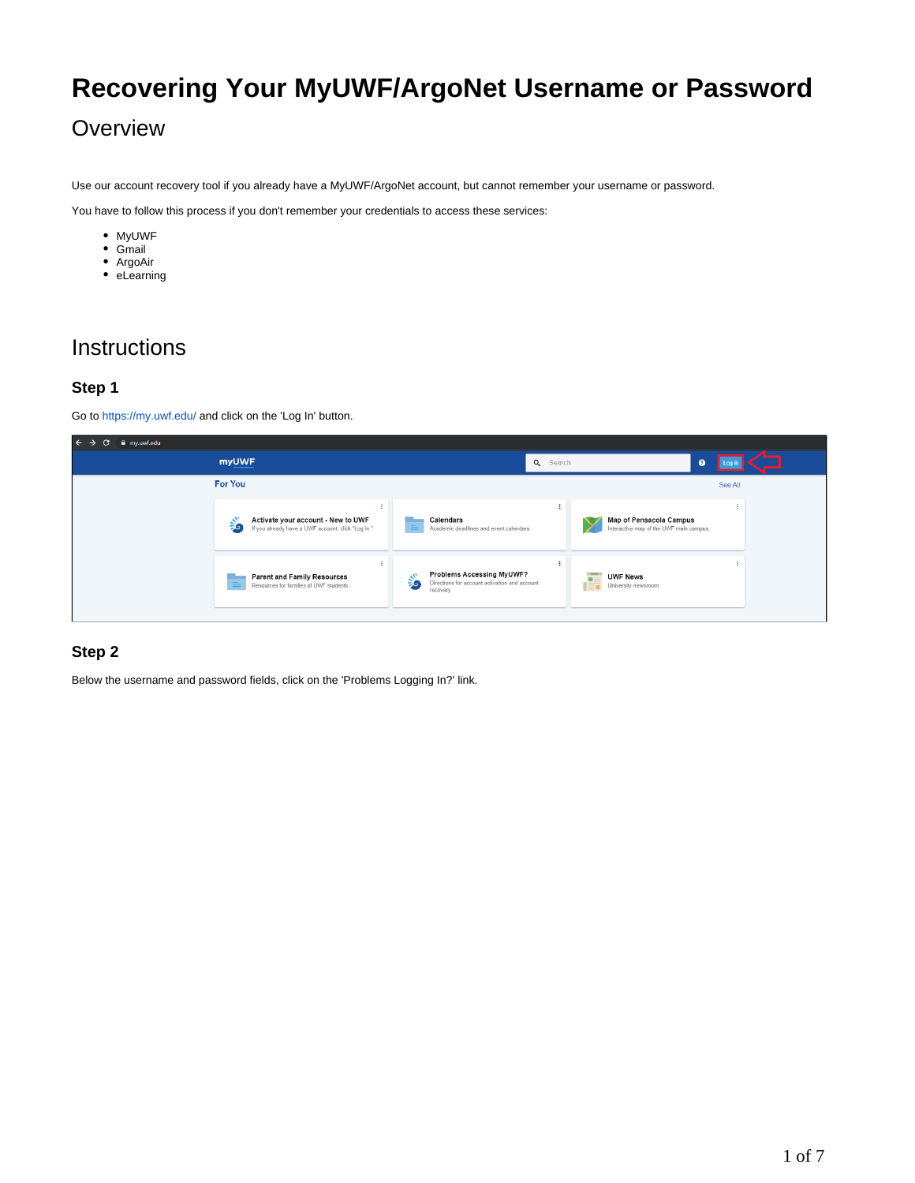# **Recovering Your MyUWF/ArgoNet Username or Password**

## **Overview**

Use our account recovery tool if you already have a MyUWF/ArgoNet account, but cannot remember your username or password.

You have to follow this process if you don't remember your credentials to access these services:

- MyUWF
- Gmail
- ArgoAir
- eLearning

### **Instructions**

#### **Step 1**

Go to<https://my.uwf.edu/> and click on the 'Log In' button.

| $\leftrightarrow$ e<br>iii my.uwf.edu |                                                                                               |                                                                                              |                                                                    |         |
|---------------------------------------|-----------------------------------------------------------------------------------------------|----------------------------------------------------------------------------------------------|--------------------------------------------------------------------|---------|
|                                       | <b>myUWF</b>                                                                                  |                                                                                              | Q Search<br>$\boldsymbol{Q}$                                       |         |
|                                       | <b>For You</b>                                                                                |                                                                                              |                                                                    | See All |
|                                       | Activate your account - New to UWF<br>⋚<br>If you already have a UWF account, click "Log In." | Calendars<br>Academic deadlines and event calendars                                          | Map of Pensacola Campus<br>Interactive map of the UWF main campus. |         |
|                                       | <b>Parent and Family Resources</b><br>$\equiv$<br>Resources for families of UWF students.     | Problems Accessing MyUWF?<br>Directions for account activation and account<br>56<br>recovery | <b>UWF News</b><br>п<br>1Ē.<br>University newsroom.                |         |

#### **Step 2**

Below the username and password fields, click on the 'Problems Logging In?' link.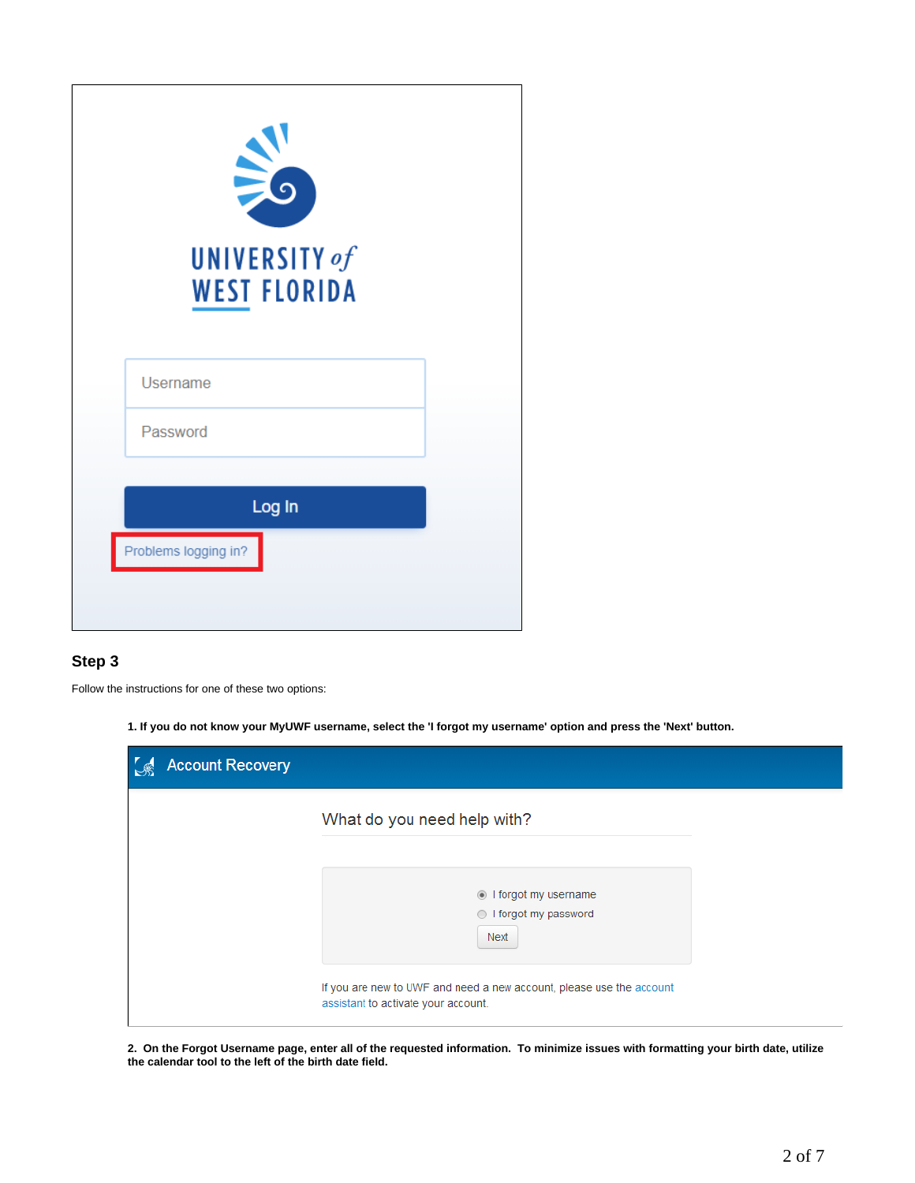| $\geq$<br>UNIVERSITY of<br><b>WEST FLORIDA</b> |  |
|------------------------------------------------|--|
| Username                                       |  |
| Password                                       |  |
| Log In<br>Problems logging in?                 |  |
|                                                |  |

#### **Step 3**

Follow the instructions for one of these two options:

**1. If you do not know your MyUWF username, select the 'I forgot my username' option and press the 'Next' button.**

| <b>Account Recovery</b> |                                                                                                             |  |
|-------------------------|-------------------------------------------------------------------------------------------------------------|--|
|                         | What do you need help with?                                                                                 |  |
|                         | I forgot my username<br>l forgot my password<br>Next                                                        |  |
|                         | If you are new to UWF and need a new account, please use the account<br>assistant to activate your account. |  |

**2. On the Forgot Username page, enter all of the requested information. To minimize issues with formatting your birth date, utilize the calendar tool to the left of the birth date field.**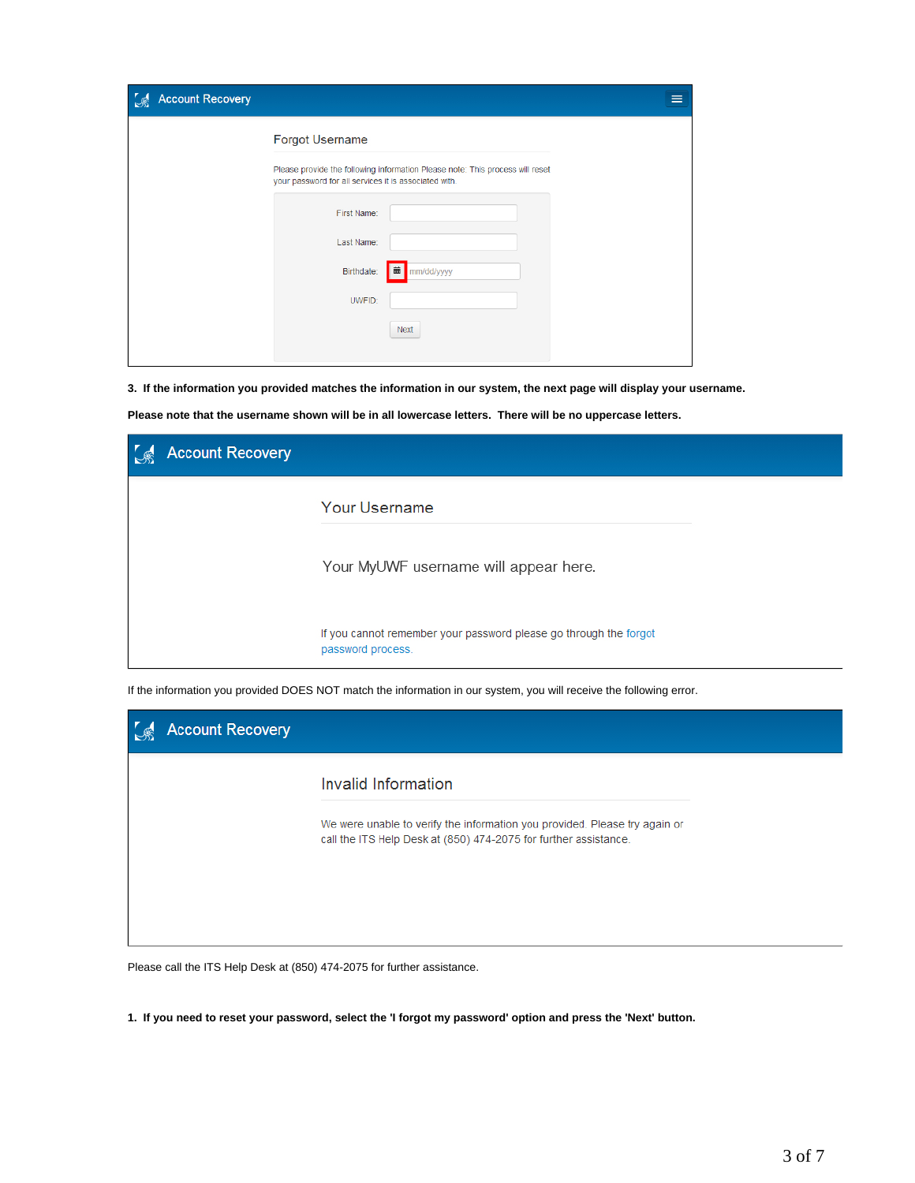| <b>Account Recovery</b> |                                                                                                                                        | ≡ |
|-------------------------|----------------------------------------------------------------------------------------------------------------------------------------|---|
|                         | Forgot Username                                                                                                                        |   |
|                         | Please provide the following information Please note: This process will reset<br>your password for all services it is associated with. |   |
|                         | First Name:                                                                                                                            |   |
|                         | Last Name:                                                                                                                             |   |
|                         | Birthdate:<br>mm/dd/yyyy<br>画                                                                                                          |   |
|                         | UWFID:                                                                                                                                 |   |
|                         | <b>Next</b>                                                                                                                            |   |

**3. If the information you provided matches the information in our system, the next page will display your username.**

**Please note that the username shown will be in all lowercase letters. There will be no uppercase letters.**

| <b>Account Recovery</b> |                                                                                        |
|-------------------------|----------------------------------------------------------------------------------------|
|                         | Your Username                                                                          |
|                         | Your MyUWF username will appear here.                                                  |
|                         | If you cannot remember your password please go through the forgot<br>password process. |

If the information you provided DOES NOT match the information in our system, you will receive the following error.

| Invalid Information<br>We were unable to verify the information you provided. Please try again or |
|---------------------------------------------------------------------------------------------------|
| call the ITS Help Desk at (850) 474-2075 for further assistance.                                  |

Please call the ITS Help Desk at (850) 474-2075 for further assistance.

**1. If you need to reset your password, select the 'I forgot my password' option and press the 'Next' button.**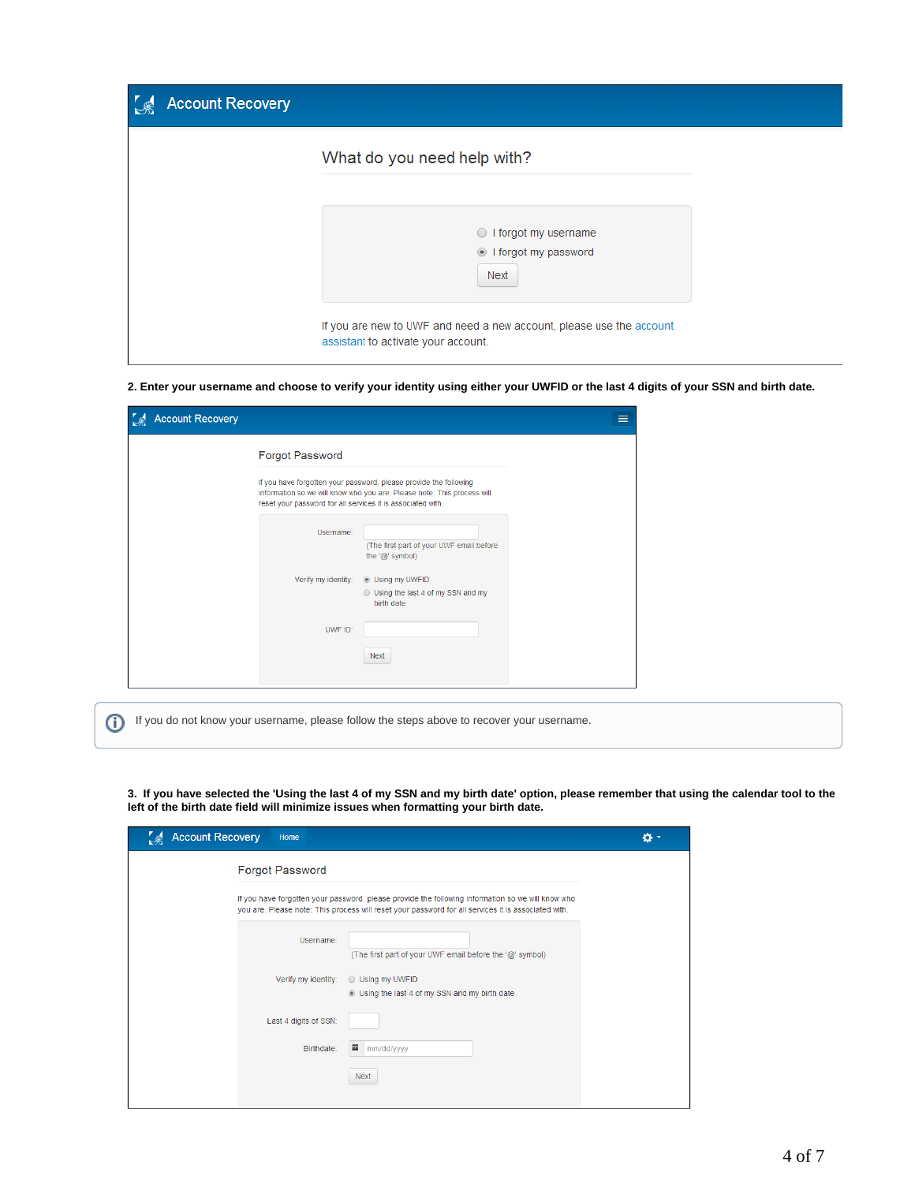| <b>Account Recovery</b> |                                                                                                             |  |
|-------------------------|-------------------------------------------------------------------------------------------------------------|--|
|                         | What do you need help with?                                                                                 |  |
|                         | I forgot my username<br>$\circ$<br>If orgot my password<br>Next                                             |  |
|                         | If you are new to UWF and need a new account, please use the account<br>assistant to activate your account. |  |

**2. Enter your username and choose to verify your identity using either your UWFID or the last 4 digits of your SSN and birth date.**

| <b>Forgot Password</b>                                      |                                                                                                                                              |  |
|-------------------------------------------------------------|----------------------------------------------------------------------------------------------------------------------------------------------|--|
| reset your password for all services it is associated with. | If you have forgotten your password, please provide the following<br>information so we will know who you are. Please note: This process will |  |
| Username:                                                   | (The first part of your UWF email before<br>the $\langle \text{Q} \rangle$ symbol)                                                           |  |
| Verify my identity:                                         | <b>Using my UWFID</b><br>◯ Using the last 4 of my SSN and my<br>birth date                                                                   |  |
| UWF ID:                                                     |                                                                                                                                              |  |
|                                                             | <b>Next</b>                                                                                                                                  |  |

If you do not know your username, please follow the steps above to recover your username.

**3. If you have selected the 'Using the last 4 of my SSN and my birth date' option, please remember that using the calendar tool to the left of the birth date field will minimize issues when formatting your birth date.** 

| <b>Account Recovery</b> | Home                   |                                                                                                                                                                                                          | ø۰ |
|-------------------------|------------------------|----------------------------------------------------------------------------------------------------------------------------------------------------------------------------------------------------------|----|
|                         | <b>Forgot Password</b> |                                                                                                                                                                                                          |    |
|                         |                        | If you have forgotten your password, please provide the following information so we will know who<br>you are. Please note: This process will reset your password for all services it is associated with. |    |
|                         | Username:              | (The first part of your UWF email before the '@' symbol)                                                                                                                                                 |    |
|                         | Verify my identity:    | ◯ Using my UWFID<br><b>ID</b> Using the last 4 of my SSN and my birth date                                                                                                                               |    |
|                         | Last 4 digits of SSN:  |                                                                                                                                                                                                          |    |
|                         | Birthdate:             | 藟<br>mm/dd/yyyy                                                                                                                                                                                          |    |
|                         |                        | <b>Next</b>                                                                                                                                                                                              |    |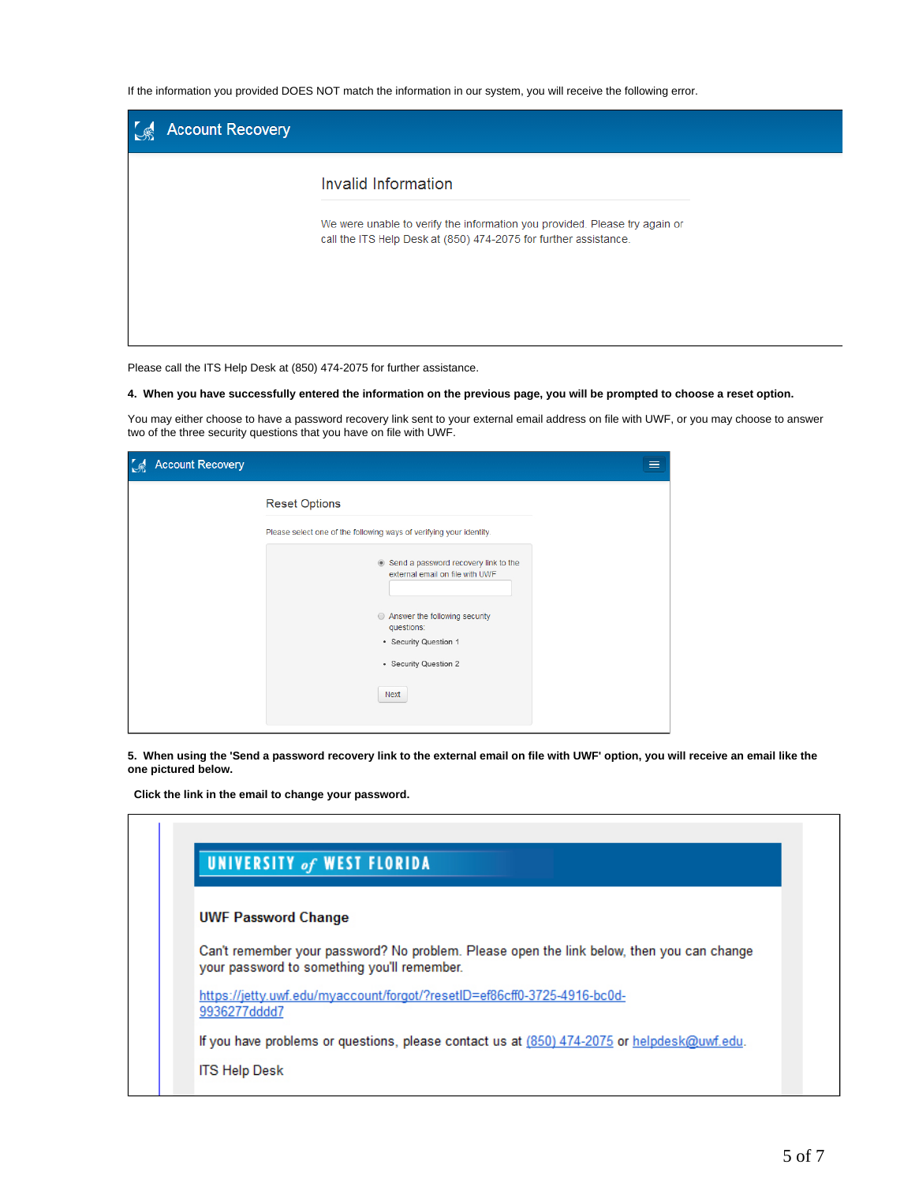If the information you provided DOES NOT match the information in our system, you will receive the following error.

| <b>Account Recovery</b> |                                                                                                                                                |  |
|-------------------------|------------------------------------------------------------------------------------------------------------------------------------------------|--|
|                         | Invalid Information                                                                                                                            |  |
|                         | We were unable to verify the information you provided. Please try again or<br>call the ITS Help Desk at (850) 474-2075 for further assistance. |  |
|                         |                                                                                                                                                |  |

Please call the ITS Help Desk at (850) 474-2075 for further assistance.

**4. When you have successfully entered the information on the previous page, you will be prompted to choose a reset option.**

You may either choose to have a password recovery link sent to your external email address on file with UWF, or you may choose to answer two of the three security questions that you have on file with UWF.

| <b>Account Recovery</b> |                                                                                                                                                                                  | ≡ |
|-------------------------|----------------------------------------------------------------------------------------------------------------------------------------------------------------------------------|---|
|                         | <b>Reset Options</b>                                                                                                                                                             |   |
|                         | Please select one of the following ways of verifying your identity.                                                                                                              |   |
|                         | Send a password recovery link to the<br>external email on file with UWF<br>Answer the following security<br>questions:<br>• Security Question 1<br>• Security Question 2<br>Next |   |

**5. When using the 'Send a password recovery link to the external email on file with UWF' option, you will receive an email like the one pictured below.**

 **Click the link in the email to change your password.**

|                            | <b>UNIVERSITY of WEST FLORIDA</b>                                                                                                        |
|----------------------------|------------------------------------------------------------------------------------------------------------------------------------------|
| <b>UWF Password Change</b> |                                                                                                                                          |
|                            | Can't remember your password? No problem. Please open the link below, then you can change<br>your password to something you'll remember. |
| 9936277dddd7               | https://jetty.uwf.edu/myaccount/forgot/?resetID=ef86cff0-3725-4916-bc0d-                                                                 |
|                            | If you have problems or questions, please contact us at (850) 474-2075 or helpdesk@uwf.edu.                                              |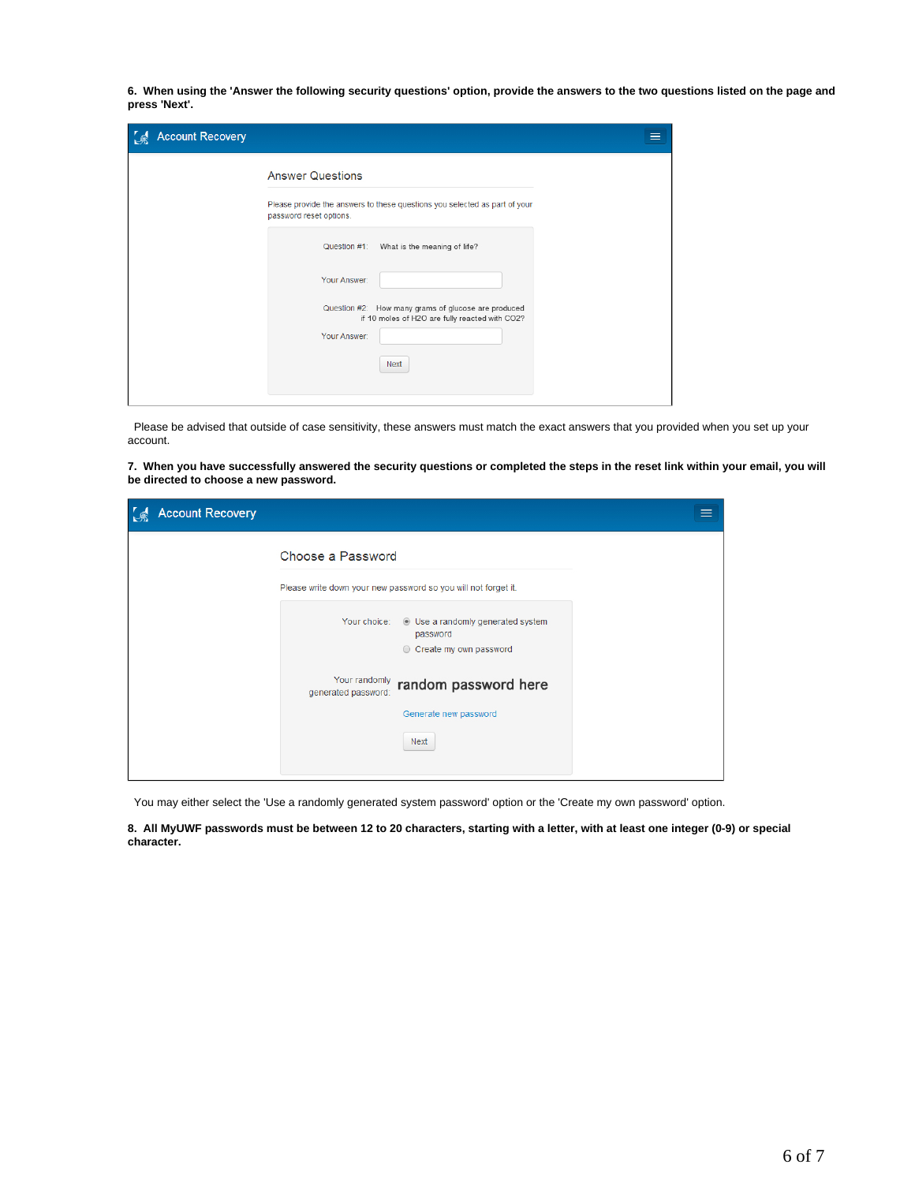**6. When using the 'Answer the following security questions' option, provide the answers to the two questions listed on the page and press 'Next'.**

| <b>Account Recovery</b><br>$\mathcal{S}$ |                                                                                                       |  |
|------------------------------------------|-------------------------------------------------------------------------------------------------------|--|
|                                          | <b>Answer Questions</b>                                                                               |  |
|                                          | Please provide the answers to these questions you selected as part of your<br>password reset options. |  |
|                                          | Question #1: What is the meaning of life?                                                             |  |
|                                          | Your Answer:                                                                                          |  |
|                                          | Question #2: How many grams of glucose are produced<br>if 10 moles of H2O are fully reacted with CO2? |  |
|                                          | Your Answer:                                                                                          |  |
|                                          | <b>Next</b>                                                                                           |  |
|                                          |                                                                                                       |  |

 Please be advised that outside of case sensitivity, these answers must match the exact answers that you provided when you set up your account.

**7. When you have successfully answered the security questions or completed the steps in the reset link within your email, you will be directed to choose a new password.**

| <b>Account Recovery</b> |                                                                |  |
|-------------------------|----------------------------------------------------------------|--|
|                         | Choose a Password                                              |  |
|                         | Please write down your new password so you will not forget it. |  |
|                         | Your choice: C Use a randomly generated system<br>password     |  |
|                         | Create my own password                                         |  |
|                         | Your randomly random password here<br>generated password:      |  |
|                         | Generate new password                                          |  |
|                         | Next                                                           |  |
|                         |                                                                |  |

You may either select the 'Use a randomly generated system password' option or the 'Create my own password' option.

**8. All MyUWF passwords must be between 12 to 20 characters, starting with a letter, with at least one integer (0-9) or special character.**